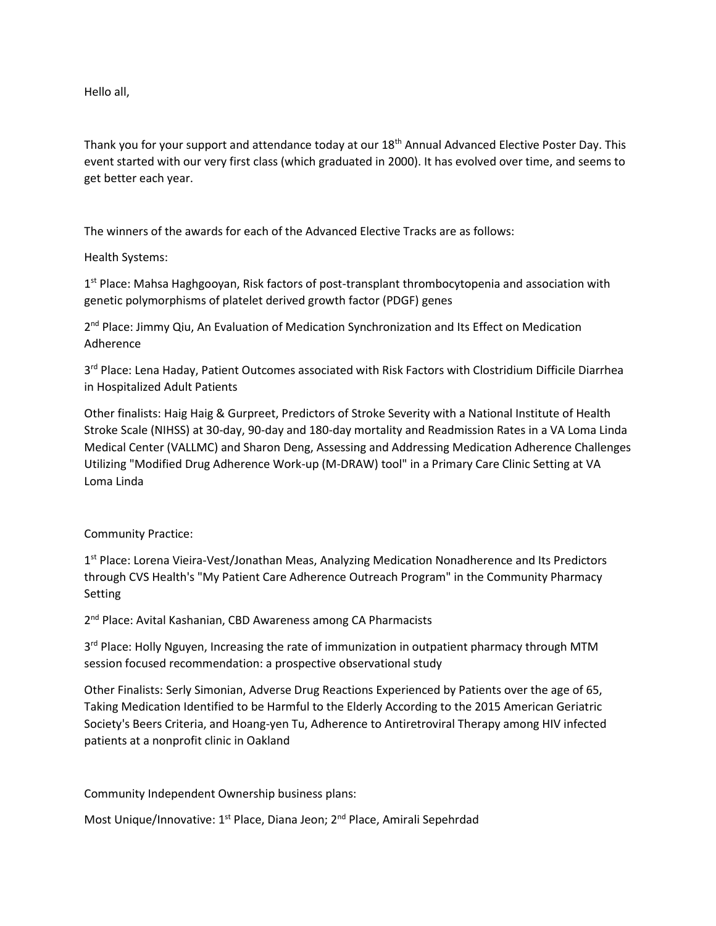Hello all,

Thank you for your support and attendance today at our 18th Annual Advanced Elective Poster Day. This event started with our very first class (which graduated in 2000). It has evolved over time, and seems to get better each year.

The winners of the awards for each of the Advanced Elective Tracks are as follows:

## Health Systems:

1<sup>st</sup> Place: Mahsa Haghgooyan, Risk factors of post-transplant thrombocytopenia and association with genetic polymorphisms of platelet derived growth factor (PDGF) genes

2<sup>nd</sup> Place: Jimmy Qiu, An Evaluation of Medication Synchronization and Its Effect on Medication Adherence

3<sup>rd</sup> Place: Lena Haday, Patient Outcomes associated with Risk Factors with Clostridium Difficile Diarrhea in Hospitalized Adult Patients

Other finalists: Haig Haig & Gurpreet, Predictors of Stroke Severity with a National Institute of Health Stroke Scale (NIHSS) at 30-day, 90-day and 180-day mortality and Readmission Rates in a VA Loma Linda Medical Center (VALLMC) and Sharon Deng, Assessing and Addressing Medication Adherence Challenges Utilizing "Modified Drug Adherence Work-up (M-DRAW) tool" in a Primary Care Clinic Setting at VA Loma Linda

## Community Practice:

1<sup>st</sup> Place: Lorena Vieira-Vest/Jonathan Meas, Analyzing Medication Nonadherence and Its Predictors through CVS Health's "My Patient Care Adherence Outreach Program" in the Community Pharmacy Setting

2<sup>nd</sup> Place: Avital Kashanian, CBD Awareness among CA Pharmacists

3<sup>rd</sup> Place: Holly Nguyen, Increasing the rate of immunization in outpatient pharmacy through MTM session focused recommendation: a prospective observational study

Other Finalists: Serly Simonian, Adverse Drug Reactions Experienced by Patients over the age of 65, Taking Medication Identified to be Harmful to the Elderly According to the 2015 American Geriatric Society's Beers Criteria, and Hoang-yen Tu, Adherence to Antiretroviral Therapy among HIV infected patients at a nonprofit clinic in Oakland

Community Independent Ownership business plans:

Most Unique/Innovative: 1<sup>st</sup> Place, Diana Jeon; 2<sup>nd</sup> Place, Amirali Sepehrdad